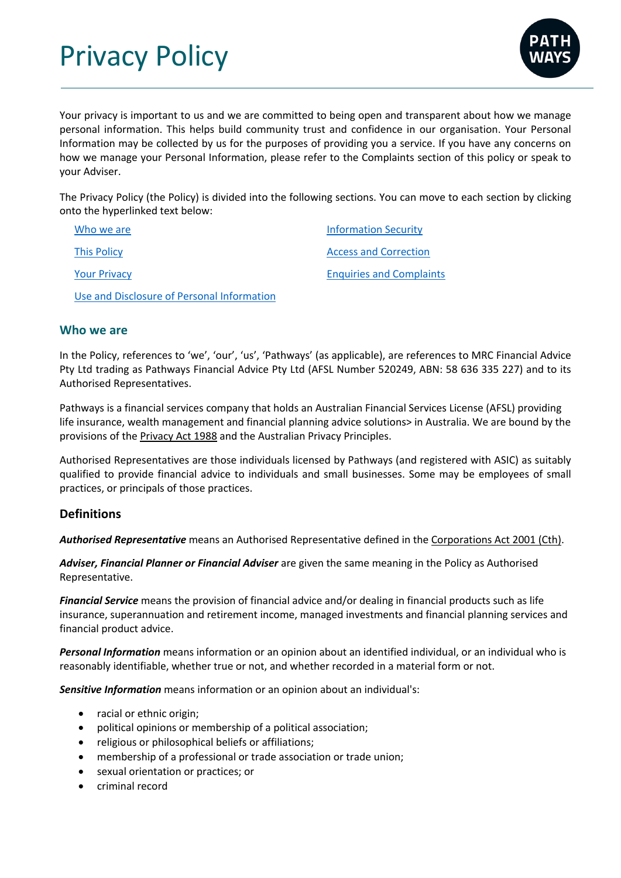Privacy Policy



Your privacy is important to us and we are committed to being open and transparent about how we manage personal information. This helps build community trust and confidence in our organisation. Your Personal Information may be collected by us for the purposes of providing you a service. If you have any concerns on how we manage your Personal Information, please refer to the Complaints section of this policy or speak to your Adviser.

The Privacy Policy (the Policy) is divided into the following sections. You can move to each section by clicking onto the hyperlinked text below:

| Who we are          | <b>Information Security</b>     |
|---------------------|---------------------------------|
| <b>This Policy</b>  | <b>Access and Correction</b>    |
| <b>Your Privacy</b> | <b>Enquiries and Complaints</b> |

Use and Disclosure of Personal Information

## **Who we are**

In the Policy, references to 'we', 'our', 'us', 'Pathways' (as applicable), are references to MRC Financial Advice Pty Ltd trading as Pathways Financial Advice Pty Ltd (AFSL Number 520249, ABN: 58 636 335 227) and to its Authorised Representatives.

Pathways is a financial services company that holds an Australian Financial Services License (AFSL) providing life insurance, wealth management and financial planning advice solutions> in Australia. We are bound by the provisions of the Privacy Act 1988 and the Australian Privacy Principles.

Authorised Representatives are those individuals licensed by Pathways (and registered with ASIC) as suitably qualified to provide financial advice to individuals and small businesses. Some may be employees of small practices, or principals of those practices.

# **Definitions**

*Authorised Representative* means an Authorised Representative defined in the Corporations Act 2001 (Cth).

*Adviser, Financial Planner or Financial Adviser* are given the same meaning in the Policy as Authorised Representative.

*Financial Service* means the provision of financial advice and/or dealing in financial products such as life insurance, superannuation and retirement income, managed investments and financial planning services and financial product advice.

*Personal Information* means information or an opinion about an identified individual, or an individual who is reasonably identifiable, whether true or not, and whether recorded in a material form or not.

*Sensitive Information* means information or an opinion about an individual's:

- racial or ethnic origin;
- political opinions or membership of a political association;
- religious or philosophical beliefs or affiliations;
- membership of a professional or trade association or trade union;
- sexual orientation or practices; or
- criminal record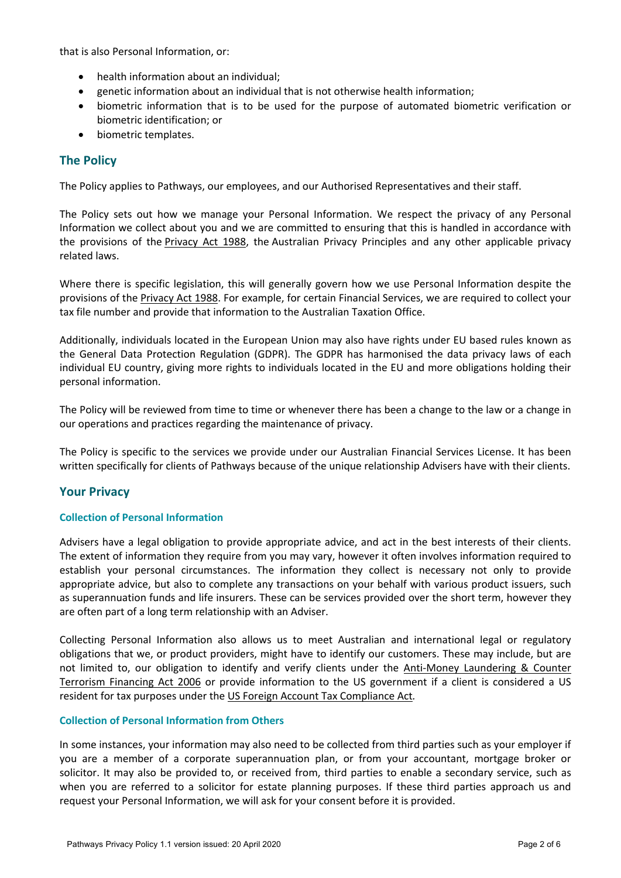that is also Personal Information, or:

- health information about an individual;
- genetic information about an individual that is not otherwise health information;
- biometric information that is to be used for the purpose of automated biometric verification or biometric identification; or
- biometric templates.

# **The Policy**

The Policy applies to Pathways, our employees, and our Authorised Representatives and their staff.

The Policy sets out how we manage your Personal Information. We respect the privacy of any Personal Information we collect about you and we are committed to ensuring that this is handled in accordance with the provisions of the Privacy Act 1988, the Australian Privacy Principles and any other applicable privacy related laws.

Where there is specific legislation, this will generally govern how we use Personal Information despite the provisions of the Privacy Act 1988. For example, for certain Financial Services, we are required to collect your tax file number and provide that information to the Australian Taxation Office.

Additionally, individuals located in the European Union may also have rights under EU based rules known as the General Data Protection Regulation (GDPR). The GDPR has harmonised the data privacy laws of each individual EU country, giving more rights to individuals located in the EU and more obligations holding their personal information.

The Policy will be reviewed from time to time or whenever there has been a change to the law or a change in our operations and practices regarding the maintenance of privacy.

The Policy is specific to the services we provide under our Australian Financial Services License. It has been written specifically for clients of Pathways because of the unique relationship Advisers have with their clients.

# **Your Privacy**

## **Collection of Personal Information**

Advisers have a legal obligation to provide appropriate advice, and act in the best interests of their clients. The extent of information they require from you may vary, however it often involves information required to establish your personal circumstances. The information they collect is necessary not only to provide appropriate advice, but also to complete any transactions on your behalf with various product issuers, such as superannuation funds and life insurers. These can be services provided over the short term, however they are often part of a long term relationship with an Adviser.

Collecting Personal Information also allows us to meet Australian and international legal or regulatory obligations that we, or product providers, might have to identify our customers. These may include, but are not limited to, our obligation to identify and verify clients under the Anti-Money Laundering & Counter Terrorism Financing Act 2006 or provide information to the US government if a client is considered a US resident for tax purposes under the US Foreign Account Tax Compliance Act*.*

## **Collection of Personal Information from Others**

In some instances, your information may also need to be collected from third parties such as your employer if you are a member of a corporate superannuation plan, or from your accountant, mortgage broker or solicitor. It may also be provided to, or received from, third parties to enable a secondary service, such as when you are referred to a solicitor for estate planning purposes. If these third parties approach us and request your Personal Information, we will ask for your consent before it is provided.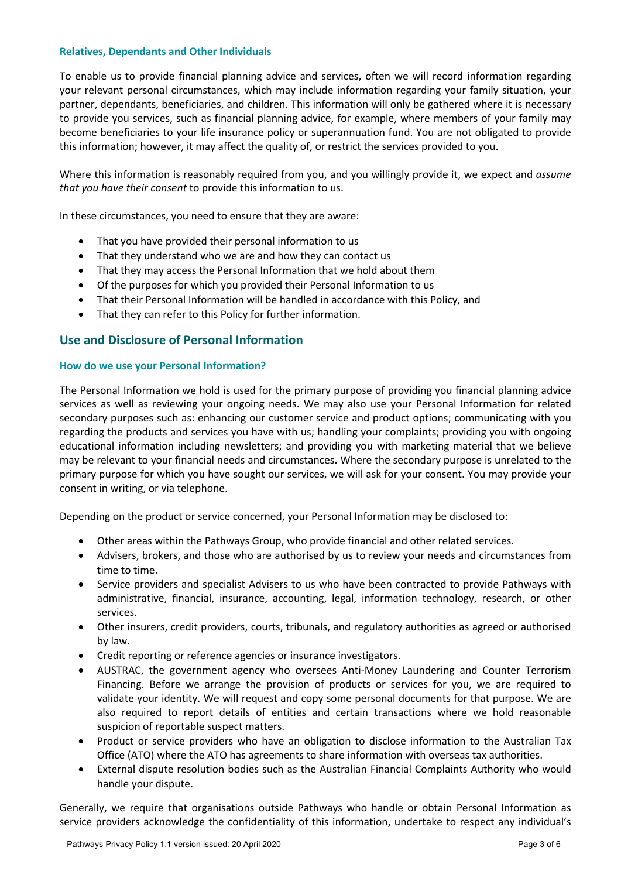## **Relatives, Dependants and Other Individuals**

To enable us to provide financial planning advice and services, often we will record information regarding your relevant personal circumstances, which may include information regarding your family situation, your partner, dependants, beneficiaries, and children. This information will only be gathered where it is necessary to provide you services, such as financial planning advice, for example, where members of your family may become beneficiaries to your life insurance policy or superannuation fund. You are not obligated to provide this information; however, it may affect the quality of, or restrict the services provided to you.

Where this information is reasonably required from you, and you willingly provide it, we expect and *assume that you have their consent* to provide this information to us.

In these circumstances, you need to ensure that they are aware:

- That you have provided their personal information to us
- That they understand who we are and how they can contact us
- That they may access the Personal Information that we hold about them
- Of the purposes for which you provided their Personal Information to us
- That their Personal Information will be handled in accordance with this Policy, and
- That they can refer to this Policy for further information.

# **Use and Disclosure of Personal Information**

### **How do we use your Personal Information?**

The Personal Information we hold is used for the primary purpose of providing you financial planning advice services as well as reviewing your ongoing needs. We may also use your Personal Information for related secondary purposes such as: enhancing our customer service and product options; communicating with you regarding the products and services you have with us; handling your complaints; providing you with ongoing educational information including newsletters; and providing you with marketing material that we believe may be relevant to your financial needs and circumstances. Where the secondary purpose is unrelated to the primary purpose for which you have sought our services, we will ask for your consent. You may provide your consent in writing, or via telephone.

Depending on the product or service concerned, your Personal Information may be disclosed to:

- Other areas within the Pathways Group, who provide financial and other related services.
- Advisers, brokers, and those who are authorised by us to review your needs and circumstances from time to time.
- Service providers and specialist Advisers to us who have been contracted to provide Pathways with administrative, financial, insurance, accounting, legal, information technology, research, or other services.
- Other insurers, credit providers, courts, tribunals, and regulatory authorities as agreed or authorised by law.
- Credit reporting or reference agencies or insurance investigators.
- AUSTRAC, the government agency who oversees Anti-Money Laundering and Counter Terrorism Financing. Before we arrange the provision of products or services for you, we are required to validate your identity. We will request and copy some personal documents for that purpose. We are also required to report details of entities and certain transactions where we hold reasonable suspicion of reportable suspect matters.
- Product or service providers who have an obligation to disclose information to the Australian Tax Office (ATO) where the ATO has agreements to share information with overseas tax authorities.
- External dispute resolution bodies such as the Australian Financial Complaints Authority who would handle your dispute.

Generally, we require that organisations outside Pathways who handle or obtain Personal Information as service providers acknowledge the confidentiality of this information, undertake to respect any individual's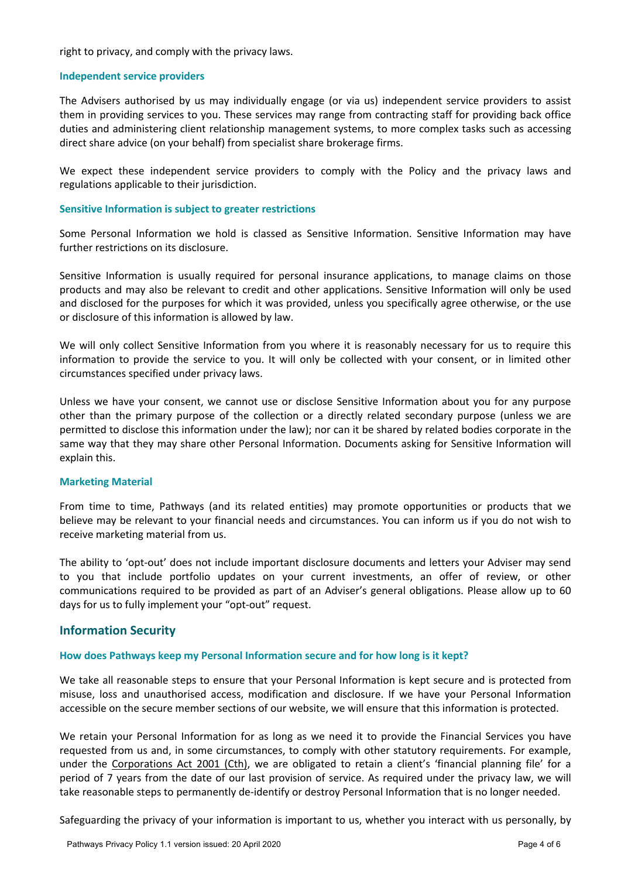right to privacy, and comply with the privacy laws.

### **Independent service providers**

The Advisers authorised by us may individually engage (or via us) independent service providers to assist them in providing services to you. These services may range from contracting staff for providing back office duties and administering client relationship management systems, to more complex tasks such as accessing direct share advice (on your behalf) from specialist share brokerage firms.

We expect these independent service providers to comply with the Policy and the privacy laws and regulations applicable to their jurisdiction.

### **Sensitive Information is subject to greater restrictions**

Some Personal Information we hold is classed as Sensitive Information. Sensitive Information may have further restrictions on its disclosure.

Sensitive Information is usually required for personal insurance applications, to manage claims on those products and may also be relevant to credit and other applications. Sensitive Information will only be used and disclosed for the purposes for which it was provided, unless you specifically agree otherwise, or the use or disclosure of this information is allowed by law.

We will only collect Sensitive Information from you where it is reasonably necessary for us to require this information to provide the service to you. It will only be collected with your consent, or in limited other circumstances specified under privacy laws.

Unless we have your consent, we cannot use or disclose Sensitive Information about you for any purpose other than the primary purpose of the collection or a directly related secondary purpose (unless we are permitted to disclose this information under the law); nor can it be shared by related bodies corporate in the same way that they may share other Personal Information. Documents asking for Sensitive Information will explain this.

### **Marketing Material**

From time to time, Pathways (and its related entities) may promote opportunities or products that we believe may be relevant to your financial needs and circumstances. You can inform us if you do not wish to receive marketing material from us.

The ability to 'opt-out' does not include important disclosure documents and letters your Adviser may send to you that include portfolio updates on your current investments, an offer of review, or other communications required to be provided as part of an Adviser's general obligations. Please allow up to 60 days for us to fully implement your "opt-out" request.

## **Information Security**

### **How does Pathways keep my Personal Information secure and for how long is it kept?**

We take all reasonable steps to ensure that your Personal Information is kept secure and is protected from misuse, loss and unauthorised access, modification and disclosure. If we have your Personal Information accessible on the secure member sections of our website, we will ensure that this information is protected.

We retain your Personal Information for as long as we need it to provide the Financial Services you have requested from us and, in some circumstances, to comply with other statutory requirements. For example, under the Corporations Act 2001 (Cth), we are obligated to retain a client's 'financial planning file' for a period of 7 years from the date of our last provision of service. As required under the privacy law, we will take reasonable steps to permanently de-identify or destroy Personal Information that is no longer needed.

Safeguarding the privacy of your information is important to us, whether you interact with us personally, by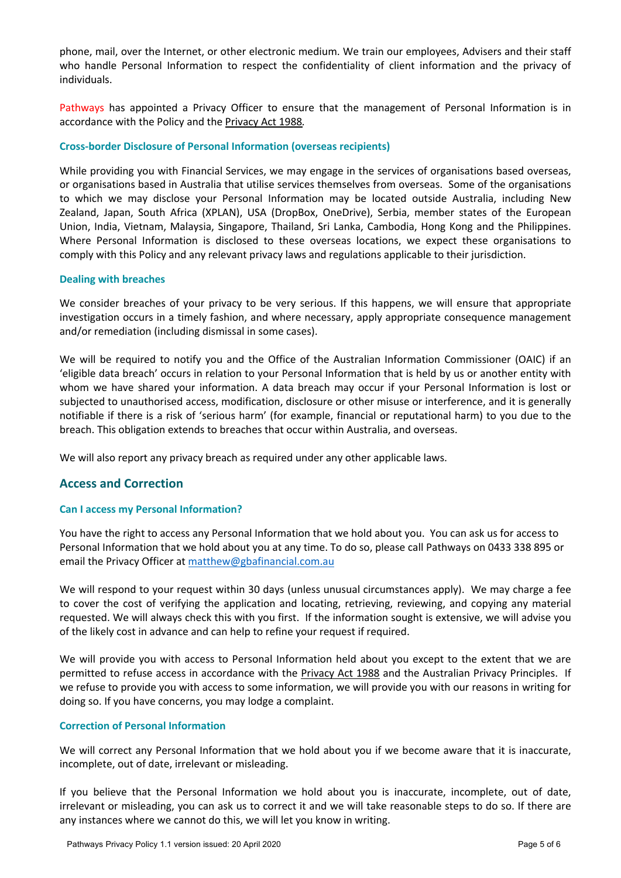phone, mail, over the Internet, or other electronic medium. We train our employees, Advisers and their staff who handle Personal Information to respect the confidentiality of client information and the privacy of individuals.

Pathways has appointed a Privacy Officer to ensure that the management of Personal Information is in accordance with the Policy and the Privacy Act 1988*.*

## **Cross-border Disclosure of Personal Information (overseas recipients)**

While providing you with Financial Services, we may engage in the services of organisations based overseas, or organisations based in Australia that utilise services themselves from overseas. Some of the organisations to which we may disclose your Personal Information may be located outside Australia, including New Zealand, Japan, South Africa (XPLAN), USA (DropBox, OneDrive), Serbia, member states of the European Union, India, Vietnam, Malaysia, Singapore, Thailand, Sri Lanka, Cambodia, Hong Kong and the Philippines. Where Personal Information is disclosed to these overseas locations, we expect these organisations to comply with this Policy and any relevant privacy laws and regulations applicable to their jurisdiction.

### **Dealing with breaches**

We consider breaches of your privacy to be very serious. If this happens, we will ensure that appropriate investigation occurs in a timely fashion, and where necessary, apply appropriate consequence management and/or remediation (including dismissal in some cases).

We will be required to notify you and the Office of the Australian Information Commissioner (OAIC) if an 'eligible data breach' occurs in relation to your Personal Information that is held by us or another entity with whom we have shared your information. A data breach may occur if your Personal Information is lost or subjected to unauthorised access, modification, disclosure or other misuse or interference, and it is generally notifiable if there is a risk of 'serious harm' (for example, financial or reputational harm) to you due to the breach. This obligation extends to breaches that occur within Australia, and overseas.

We will also report any privacy breach as required under any other applicable laws.

# **Access and Correction**

### **Can I access my Personal Information?**

You have the right to access any Personal Information that we hold about you. You can ask us for access to Personal Information that we hold about you at any time. To do so, please call Pathways on 0433 338 895 or email the Privacy Officer at matthew@gbafinancial.com.au

We will respond to your request within 30 days (unless unusual circumstances apply). We may charge a fee to cover the cost of verifying the application and locating, retrieving, reviewing, and copying any material requested. We will always check this with you first. If the information sought is extensive, we will advise you of the likely cost in advance and can help to refine your request if required.

We will provide you with access to Personal Information held about you except to the extent that we are permitted to refuse access in accordance with the Privacy Act 1988 and the Australian Privacy Principles. If we refuse to provide you with access to some information, we will provide you with our reasons in writing for doing so. If you have concerns, you may lodge a complaint.

### **Correction of Personal Information**

We will correct any Personal Information that we hold about you if we become aware that it is inaccurate, incomplete, out of date, irrelevant or misleading.

If you believe that the Personal Information we hold about you is inaccurate, incomplete, out of date, irrelevant or misleading, you can ask us to correct it and we will take reasonable steps to do so. If there are any instances where we cannot do this, we will let you know in writing.